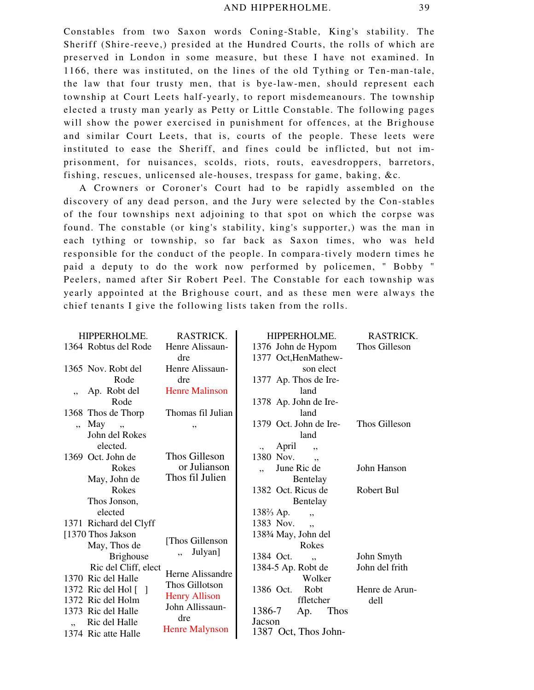Constables from two Saxon words Coning-Stable, King's stability. The Sheriff (Shire-reeve,) presided at the Hundred Courts, the rolls of which are preserved in London in some measure, but these I have not examined. In 1166, there was instituted, on the lines of the old Tything or Ten-man-tale, the law that four trusty men, that is bye-law-men, should represent each township at Court Leets half-yearly, to report misdemeanours. The township elected a trusty man yearly as Petty or Little Constable. The following pages will show the power exercised in punishment for offences, at the Brighouse and similar Court Leets, that is, courts of the people. These leets were instituted to ease the Sheriff, and fines could be inflicted, but not imprisonment, for nuisances, scolds, riots, routs, eavesdroppers, barretors, fishing, rescues, unlicensed ale-houses, trespass for game, baking, &c*.*

A Crowners or Coroner's Court had to be rapidly assembled on the discovery of any dead person, and the Jury were selected by the Con-stables of the four townships next adjoining to that spot on which the corpse was found. The constable (or king's stability, king's supporter,) was the man in each tything or township, so far back as Saxon times, who was held responsible for the conduct of the people. In compara-tively modern times he paid a deputy to do the work now performed by policemen, " Bobby " Peelers, named after Sir Robert Peel. The Constable for each township was yearly appointed at the Brighouse court, and as these men were always the chief tenants I give the following lists taken from the rolls.

| HIPPERHOLME.                | RASTRICK.             | HIPPERHOLME.                 | RASTRICK.      |
|-----------------------------|-----------------------|------------------------------|----------------|
| 1364 Robtus del Rode        | Henre Alissaun-       | 1376 John de Hypom           | Thos Gilleson  |
|                             | dre                   | 1377 Oct, HenMathew-         |                |
| 1365 Nov. Robt del          | Henre Alissaun-       | son elect                    |                |
| Rode                        | dre                   | 1377 Ap. Thos de Ire-        |                |
| Ap. Robt del                | <b>Henre Malinson</b> | land                         |                |
| Rode                        |                       | 1378 Ap. John de Ire-        |                |
| 1368 Thos de Thorp          | Thomas fil Julian     | land                         |                |
| May<br>,                    | ,,                    | 1379 Oct. John de Ire-       | Thos Gilleson  |
| John del Rokes              |                       | land                         |                |
| elected.                    |                       | April<br>$\cdot$ ,<br>,      |                |
| 1369 Oct. John de           | Thos Gilleson         | 1380 Nov.<br>, ,             |                |
| Rokes                       | or Julianson          | June Ric de                  | John Hanson    |
| May, John de                | Thos fil Julien       | Bentelay                     |                |
| Rokes                       |                       | 1382 Oct. Ricus de           | Robert Bul     |
| Thos Jonson,                |                       | Bentelay                     |                |
| elected                     |                       | $138\frac{2}{3}$ Ap.<br>,,   |                |
| 1371 Richard del Clyff      |                       | 1383 Nov.<br>٠,              |                |
| [1370 Thos Jakson]          | [Thos Gillenson       | 1383⁄4 May, John del         |                |
| May, Thos de                | Julyan]               | Rokes                        |                |
| <b>Brighouse</b>            |                       | 1384 Oct.<br>٠,              | John Smyth     |
| Ric del Cliff, elect        | Herne Alissandre      | 1384-5 Ap. Robt de           | John del frith |
| 1370 Ric del Halle          | Thos Gillotson        | Wolker                       |                |
| 1372 Ric del Hol $\lceil$ 1 | <b>Henry Allison</b>  | Robt<br>1386 Oct.            | Henre de Arun- |
| 1372 Ric del Holm           | John Allissaun-       | ffletcher                    | dell           |
| 1373 Ric del Halle          | dre                   | 1386-7<br><b>Thos</b><br>Ap. |                |
| Ric del Halle               | <b>Henre Malynson</b> | Jacson                       |                |
| 1374 Ric atte Halle         |                       | 1387 Oct, Thos John-         |                |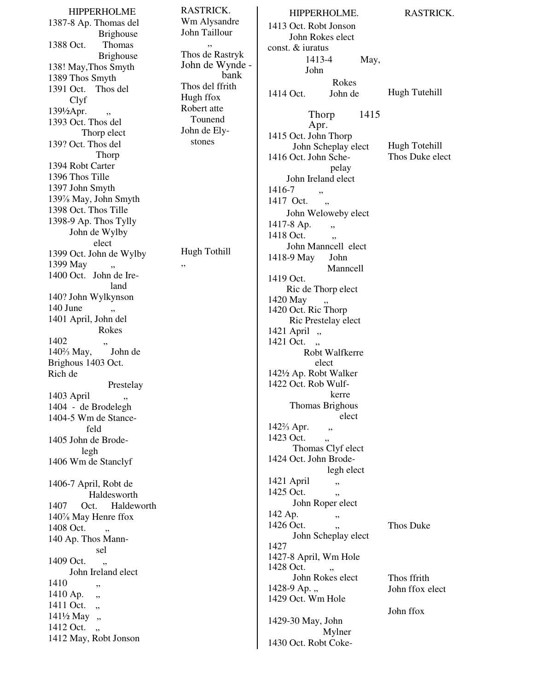HIPPERHOLME 1387-8 Ap. Thomas del Brighouse 1388 Oct. Thomas Brighouse 138! May,Thos Smyth 1389 Thos Smyth 1391 Oct. Thos del Clyf  $139\frac{1}{2}$ Apr. 1393 Oct. Thos del Thorp elect 139? Oct. Thos del Thorp 1394 Robt Carter 1396 Thos Tille 1397 John Smyth 139% May, John Smyth 1398 Oct. Thos Tille 1398-9 Ap. Thos Tylly John de Wylby elect 1399 Oct. John de Wylby 1399 May 1400 Oct. John de Ireland 140? John Wylkynson  $140$  June 1401 April, John del Rokes  $1402$  "  $140\frac{2}{3}$  May, Brighous 1403 Oct. Rich de Prestelay 1403 April 1404 - de Brodelegh 1404-5 Wm de Stancefeld 1405 John de Brodelegh 1406 Wm de Stanclyf 1406-7 April, Robt de Haldesworth 1407 Oct. Haldeworth 140% May Henre ffox 1408 Oct. 140 Ap. Thos Mannsel 1409 Oct. " John Ireland elect 1410  $1410$  Ap.  $\,$ , 1411 Oct.  $\ldots$ 141½ May, 1412 Oct., 1412 May, Robt Jonson

RASTRICK. Wm Alysandre John Taillour ,, Thos de Rastryk John de Wynde bank Thos del ffrith Hugh ffox Robert atte Tounend John de Elystones Hugh Tothill 1416-7 " 1417 Oct. 1417-8 Ap. 1418 Oct. 1419 Oct. 1420 May 1423 Oct. " 1425 Oct. 1426 Oct. 1427 1428 Oct.

,,

HIPPERHOLME. 1413 Oct. Robt Jonson John Rokes elect const. & iuratus 1413-4 May, John Rokes 1414 Oct. John de Thorp 1415 Apr. 1415 Oct. John Thorp John Scheplay elect 1416 Oct. John Schepelay John Ireland elect John Weloweby elect John Manncell elect 1418-9 May John Manncell Ric de Thorp elect 1420 Oct. Ric Thorp Ric Prestelay elect 1421 April ,, 1421 Oct. ., Robt Walfkerre elect 142½ Ap. Robt Walker 1422 Oct. Rob Wulfkerre Thomas Brighous elect  $142\frac{2}{3}$  Apr.  $\quad$ , Thomas Clyf elect 1424 Oct. John Brodelegh elect 1421 April , John Roper elect 142 Ap. , John Scheplay elect 1427-8 April, Wm Hole John Rokes elect  $1428-9$  Ap.  $\ldots$ 1429 Oct. Wm Hole 1429-30 May, John Mylner 1430 Oct. Robt Coke-RASTRICK. Hugh Tutehill Hugh Totehill Thos Duke elect Thos Duke Thos ffrith John ffox elect John ffox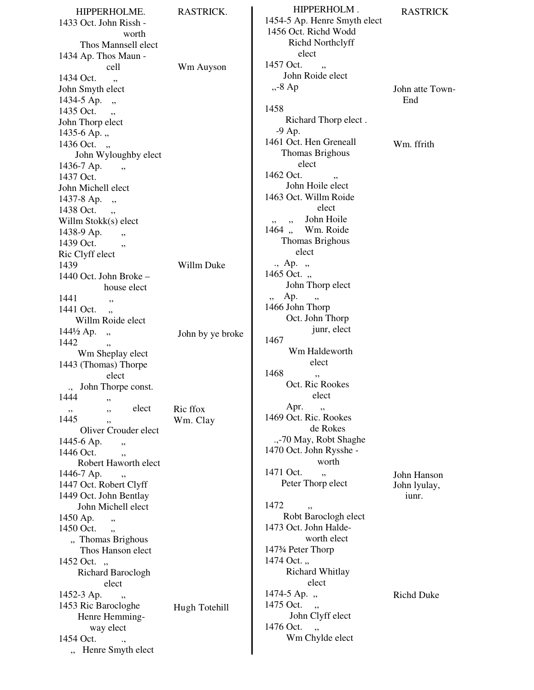HIPPERHOLME. 1433 Oct. John Rissh worth Thos Mannsell elect 1434 Ap. Thos Maun cell 1434 Oct. , John Smyth elect  $1434-5$  Ap.  $\,$ , 1435 Oct. John Thorp elect  $1435-6$  Ap.,  $1436$  Oct. " John Wyloughby elect 1436-7 Ap., 1437 Oct. John Michell elect 1437-8 Ap. ,, 1438 Oct. Willm Stokk(s) elect  $1438-9$  Ap., 1439 Oct. Ric Clyff elect 1439 1440 Oct. John Broke – house elect 1441 , 1441 Oct., Willm Roide elect  $144\frac{1}{2}$  Ap. " 1442 Wm Sheplay elect 1443 (Thomas) Thorpe elect ., John Thorpe const.  $1444$ , ,, elect  $1445$ Oliver Crouder elect 1445-6 Ap. 1446 Oct. Robert Haworth elect  $1446 - 7$  Ap. 1447 Oct. Robert Clyff 1449 Oct. John Bentlay John Michell elect 1450 Ap.  $1450$  Oct.  $\,$  ,  $\,$ " Thomas Brighous Thos Hanson elect 1452 Oct. .. Richard Baroclogh elect 1452-3 Ap. 1453 Ric Barocloghe Henre Hemmingway elect 1454 Oct. ., ,, Henre Smyth elect RASTRICK. Wm Auyson Willm Duke John by ye broke Ric ffox Wm. Clay Hugh Totehill

HIPPERHOLM . 1454-5 Ap. Henre Smyth elect 1456 Oct. Richd Wodd Richd Northclyff elect 1457 Oct. " John Roide elect ,,-8 Ap 1458 Richard Thorp elect . ,, -9 Ap. 1461 Oct. Hen Greneall Thomas Brighous elect 1462 Oct. " John Hoile elect 1463 Oct. Willm Roide elect ,, ,, John Hoile 1464, Wm. Roide Thomas Brighous elect  $\therefore$  Ap.  $\therefore$  $1465$  Oct. .. John Thorp elect ,, Ap. 1466 John Thorp Oct. John Thorp junr, elect 1467 Wm Haldeworth elect 1468 Oct. Ric Rookes elect Apr., 1469 Oct. Ric. Rookes de Rokes .,-70 May, Robt Shaghe 1470 Oct. John Rysshe worth 1471 Oct. , Peter Thorp elect 1472 ... Robt Baroclogh elect 1473 Oct. John Haldeworth elect 147¾ Peter Thorp 1474 Oct., Richard Whitlay elect 1474-5 Ap. ,, 1475 Oct., John Clyff elect 1476 Oct., Wm Chylde elect RASTRICK John atte Town-End Wm. ffrith John Hanson John lyulay, iunr. Richd Duke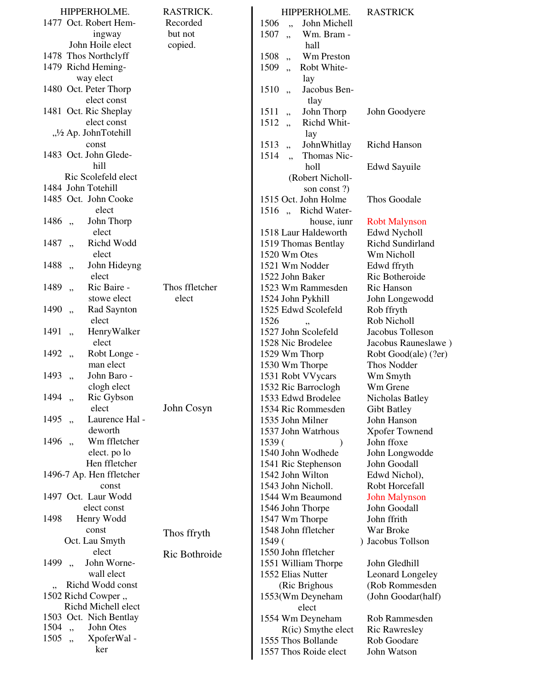| HIPPERHOLME.                              | RASTRICK.      | HIPPERHOLME.                                | <b>RASTRICK</b>                     |
|-------------------------------------------|----------------|---------------------------------------------|-------------------------------------|
| 1477 Oct. Robert Hem-                     | Recorded       | 1506<br>John Michell<br>,                   |                                     |
| ingway                                    | but not        | 1507<br>Wm. Bram -<br>,,                    |                                     |
| John Hoile elect                          | copied.        | hall                                        |                                     |
| 1478 Thos Northclyff                      |                | Wm Preston<br>1508<br>,                     |                                     |
| 1479 Richd Heming-                        |                | 1509<br>Robt White-<br>,                    |                                     |
| way elect                                 |                | lay                                         |                                     |
| 1480 Oct. Peter Thorp                     |                | 1510<br>Jacobus Ben-<br>,                   |                                     |
| elect const                               |                | tlay                                        |                                     |
| 1481 Oct. Ric Sheplay                     |                | 1511<br>John Thorp<br>, ,                   | John Goodyere                       |
| elect const                               |                | 1512<br>Richd Whit-<br>,                    |                                     |
| "1/2 Ap. JohnTotehill                     |                | 1ay                                         |                                     |
| const                                     |                | JohnWhitlay<br>1513<br>,,                   | Richd Hanson                        |
| 1483 Oct. John Glede-                     |                | 1514<br>Thomas Nic-<br>,,                   |                                     |
| hill                                      |                | holl                                        | Edwd Sayuile                        |
| Ric Scolefeld elect                       |                | (Robert Nicholl-                            |                                     |
| 1484 John Totehill                        |                | son const?)                                 |                                     |
| 1485 Oct. John Cooke                      |                | 1515 Oct. John Holme                        | Thos Goodale                        |
| elect                                     |                | 1516, Richd Water-                          |                                     |
| John Thorp<br>1486<br>,<br>elect          |                | house, iunr                                 | <b>Robt Malynson</b>                |
| Richd Wodd                                |                | 1518 Laur Haldeworth                        | Edwd Nycholl                        |
| 1487<br>,<br>elect                        |                | 1519 Thomas Bentlay<br>1520 Wm Otes         | Richd Sundirland                    |
| 1488<br>John Hideyng                      |                | 1521 Wm Nodder                              | Wm Nicholl                          |
| ,,<br>elect                               |                | 1522 John Baker                             | Edwd ffryth<br>Ric Botheroide       |
| 1489<br>Ric Baire -<br>,,                 | Thos ffletcher | 1523 Wm Rammesden                           | Ric Hanson                          |
| stowe elect                               | elect          | 1524 John Pykhill                           | John Longewodd                      |
| Rad Saynton<br>1490                       |                | 1525 Edwd Scolefeld                         | Rob ffryth                          |
| , ,<br>elect                              |                | 1526                                        | Rob Nicholl                         |
| 1491<br>HenryWalker<br>,                  |                | ,,<br>1527 John Scolefeld                   | Jacobus Tolleson                    |
| elect                                     |                | 1528 Nic Brodelee                           | Jacobus Rauneslawe)                 |
| 1492<br>Robt Longe -<br>,                 |                | 1529 Wm Thorp                               | Robt Good(ale) (?er)                |
| man elect                                 |                | 1530 Wm Thorpe                              | Thos Nodder                         |
| John Baro -<br>1493<br>,                  |                | 1531 Robt VVycars                           | Wm Smyth                            |
| clogh elect                               |                | 1532 Ric Barroclogh                         | Wm Grene                            |
| 1494<br>Ric Gybson<br>, ,                 |                | 1533 Edwd Brodelee                          | Nicholas Batley                     |
| elect                                     | John Cosyn     | 1534 Ric Rommesden                          | <b>Gibt Batley</b>                  |
| Laurence Hal -<br>1495<br>,               |                | 1535 John Milner                            | John Hanson                         |
| deworth                                   |                | 1537 John Watrhous                          | <b>Xpofer Townend</b>               |
| Wm ffletcher<br>1496<br>, 1               |                | 1539(<br>$\lambda$                          | John ffoxe                          |
| elect. po lo                              |                | 1540 John Wodhede                           | John Longwodde                      |
| Hen ffletcher                             |                | 1541 Ric Stephenson                         | John Goodall                        |
| 1496-7 Ap. Hen ffletcher                  |                | 1542 John Wilton                            | Edwd Nichol),                       |
| const                                     |                | 1543 John Nicholl.                          | Robt Horcefall                      |
| 1497 Oct. Laur Wodd                       |                | 1544 Wm Beaumond                            | <b>John Malynson</b>                |
| elect const                               |                | 1546 John Thorpe                            | John Goodall                        |
| Henry Wodd<br>1498                        |                | 1547 Wm Thorpe                              | John ffrith                         |
| const                                     | Thos ffryth    | 1548 John ffletcher                         | War Broke                           |
| Oct. Lau Smyth                            |                | 1549(                                       | ) Jacobus Tollson                   |
| elect                                     | Ric Bothroide  | 1550 John ffletcher                         |                                     |
| John Worne-<br>1499<br>$,$ ,              |                | 1551 William Thorpe                         | John Gledhill                       |
| wall elect                                |                | 1552 Elias Nutter                           | <b>Leonard Longeley</b>             |
| Richd Wodd const                          |                | (Ric Brighous                               | (Rob Rommesden                      |
| 1502 Richd Cowper,<br>Richd Michell elect |                | 1553(Wm Deyneham                            | (John Goodar(half)                  |
| 1503 Oct. Nich Bentlay                    |                | elect                                       |                                     |
| 1504<br>John Otes<br>,,                   |                | 1554 Wm Deyneham                            | Rob Rammesden                       |
| 1505<br>XpoferWal-<br>, 1                 |                | $R$ (ic) Smythe elect<br>1555 Thos Bollande | <b>Ric Rawresley</b><br>Rob Goodare |
| ker                                       |                | 1557 Thos Roide elect                       | John Watson                         |
|                                           |                |                                             |                                     |